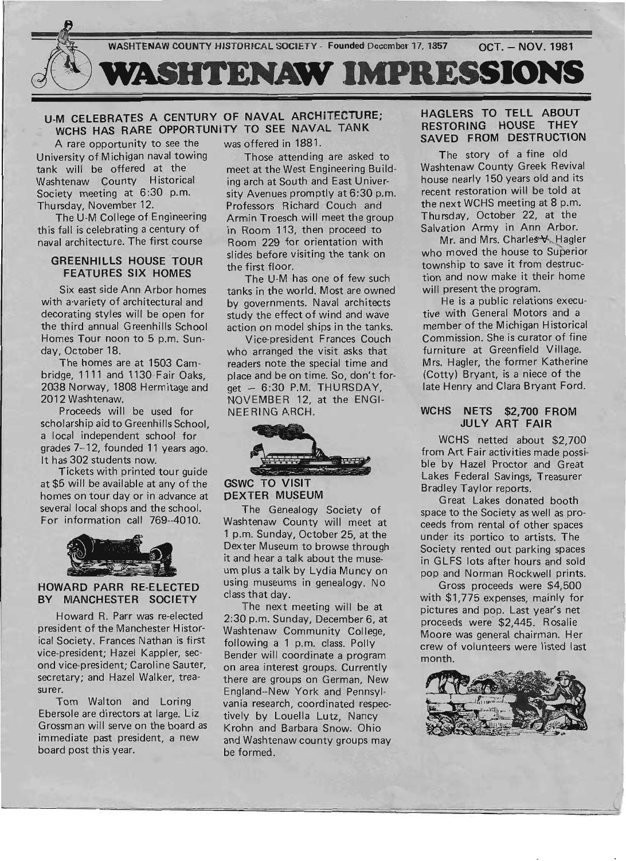

# U-M CELEBRATES A CENTURY OF NAVAL ARCHITECTURE; WCHS HAS RARE OPPORTUNITY TO SEE NAVAL TANK

A rare opportunity to see the University of Michigan naval towing tank will be offered at the Washtenaw County Historical Society meeting at 6:30 p.m. Thu rsday, November 12.

The U-M College of Engineering this fall is celebrating a century of naval architecture. The first course

## GREENHILLS HOUSE TOUR FEATURES SIX HOMES

Six east side Ann Arbor homes with a·variety of architectural and decorating styles will be open for the third annual Greenhills School Homes Tour noon to 5 p.m. Sunday, October 18.

The homes are at 1503 Cambridge, 1111 and 1130 Fair Oaks, 2038 Norway, 1808 Hermitage and 2012 Washtenaw.

Proceeds will be used for scholarship aid to Greenhills School, a local independent school for grades 7--12, founded 11 years ago. It has 302 students now.

Tickets with printed tour guide at \$5 will be available at any of the homes on tour day or in advance at several local shops and the school. For information call 769--4010.



#### HOWARD PARR RE-ELECTED BY MANCHESTER SOCIETY

Howard R. Parr was re-elected president of the Manchester Historical Society. Frances Nathan is first vice-president; Hazel Kappler, second vice-president; Caroline Sauter, secretary; and Hazel Walker, treasurer.

Tom Walton and Loring Ebersole are directors at large. Liz Grossman will serve on the board as immediate past president, a new board post this year.

was offered in 1881.

Those attending are asked to meet at the West Engineering Building arch at South and East University Avenues promptly at 6:30 p.m. Professors Richard Couch and Armin Troesch will meet the group in Room 113, then proceed to Room 229 for orientation with slides before visiting the tank on the first floor.

The U-M has one of few such tanks in the world. Most are owned by governments. Naval architects study the effect of wind and wave action on model ships in the tanks.

Vice-president Frances Couch who arranged the visit asks that readers note the special time and place and be on time. So, don't for $get - 6:30$  P.M. THURSDAY, NOVEMBER 12, at the ENGI-NEERING ARCH.



GSWC TO VISIT DEXTER MUSEUM

The Genealogy Society of Washtenaw County will meet at 1 p.m. Sunday, October 25, at the Dexter Museum to browse through it and hear a talk about the museum plus a talk by Lydia Muncy on using museums in genealogy. No class that day.

The next meeting will be at 2:30 p.m. Sunday, December 6, at Washtenaw Community College, following a 1 p.m. class. Polly Bender will coordinate a program on area interest groups. Currently there are groups on German, New England--New York and Pennsylvania research, coordinated respectively by Louella Lutz, Nancy Krohn and Barbara Snow. Ohio and Washtenaw county groups may be formed.

## HAGLERS TO TELL ABOUT RESTORING HOUSE THEY SAVED FROM DESTRUCTION

The story of a fine old Washtenaw County Greek Revival house nearly 150 years old and its recent restoration will be told at the next WCHS meeting at 8 p.m. Thursday, October 22, at the Salvation Army in Ann Arbor.

Mr. and Mrs. Charles V. Hagler who moved the house to Superior township to save it from destruction and now make it their home will present the program.

He is a public relations executive with General Motors and a member of the Michigan Historical Commission. She is curator of fine furniture at Greenfield Village. Mrs. Hagler, the former Katherine (Cotty) Bryant, is a niece of the late Henry and Clara Bryant Ford.

### WCHS NETS \$2,700 FROM JULY ART FAIR

WCHS netted about \$2,700 from Art Fair activities made possible by Hazel Proctor and Great Lakes Federal Savings, Treasurer Bradley Taylor reports.

Great Lakes donated booth space to the Society as well as proceeds from rental of other spaces under its portico to artists. The Society rented out parking spaces in GLFS lots after hours and sold pop and Norman Rockwell prints.

Gross proceeds were \$4,500 with \$1,775 expenses, mainly for pictures and pop. Last year's net proceeds were' \$2,445. Rosalie Moore was general chairman. Her crew of volunteers were listed last month.

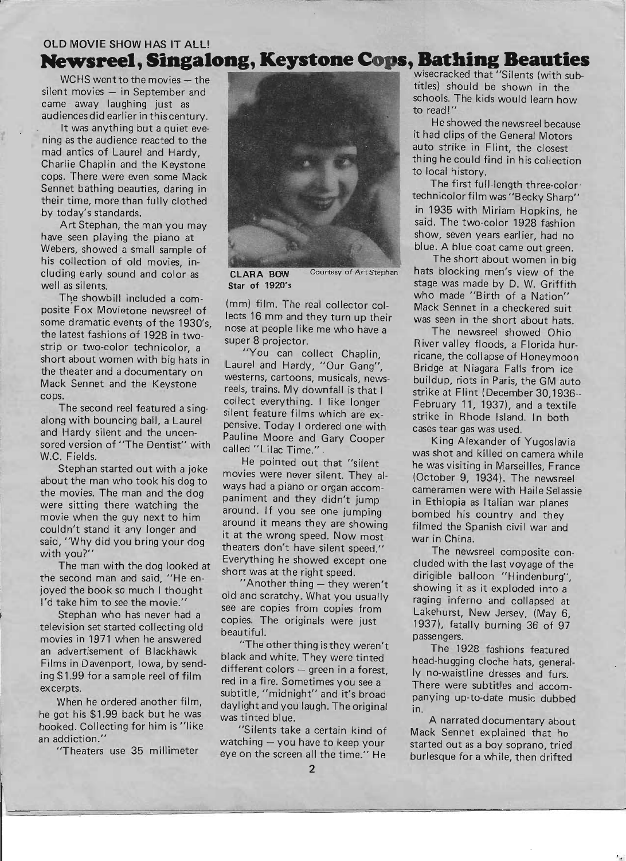# OLD MOVIE SHOW HAS IT ALL! **Newstone Cops, Bathing Beauties OLD MOVIE SHOW HAS IT ALL! wsreel, Singalong, Reystone Cops, Bathing Beautics**<br>Wisecracked that "Silents (with sub-

cluding early sound and color as **CLARA BOW** Courtesy of Art Stephan hats blocking men's view of the eduring early sound and color as stage was made by D. W. Griffith well as silents.

The showbill included a com-<br>posite Fox Movietone newsreel of the real collector col- Mack Sennet in a checkered suit posite Fox Movietone newsreel of lects 16 mm and they turn up their was seen in the short about hats. some dramatic events of the 1930's, nose at people like me who have a The newsreel showed Ohio<br>the latest fashions of 1928 in twothe latest fashions of 1928 in two-<br>strip or two-color technicolor, a super 8 projector. River valley floods, a Florida hurstrip or two-color technicolor, a "You can collect Chaplin, ricane, the collapse of Honeymoon short about women with big hats in I gurel and User's "One" short about women with big hats in Laurel and Hardy, "Our Gang", Bridge at Niagara Falls from ice the theater and a documentary on westerns, cartoons, musicals, news-<br>Mack Sennet and the Keystone rock trains My dewnfell is that: Mack Sennet and the Keystone reels, trains. My downfall is that I strike at Flint (December 30,1936--<br>cops. and allocate mention of life is that I strike at Flint (December 30,1936--

The second reel featured a sing-<br>along with bouncing ball, a Laurel pensive Today Lardared are with strike in Rhode Island. In both along with bouncing ball, a Laurel pensive. Today I ordered one with cases tear gas was used.<br>and Hardy silent and the uncen-<br>pauling Moore and Cary Cooper. and Hardy silent and the uncen-<br>sored version of "The Dentist" with called "Liles Time" Kooper King Alexander of Yugoslavia sored version of "The Dentist" with called "Lilac Time." . was shot and killed on camera while W.C. Fields.

Stephan started out with a joke movies were never silent. They al- (October 9, 1934). The newsreel the movies. The man and the dog baniment and they didn't jump in Ethiopia as Italian war planes were sitting there watching the around. If you see one jumping bombed his country and they movie when the guy next to him around it means they are showing filmed the Spanish civil war and couldn't stand it any longer and it at the wrong graph. couldn't stand it any longer and it at the wrong speed. Now most war in China. said, why did you bring your dog<br>with you?''<br>Figures theaters don't have silent speed.'' The newsreel composite con-

The man with the dog looked at short was at the right speed. dirigible balloon "Hindenburg", the second man and said, "He enthe second man and said, The en-<br>joyed the book so much I thought and and example with the showing it as it exploded into a joyed the book so much I thought old and scratchy. What you usually raging inferno and collapsed at I'd take him to see the movie."

television set started collecting old<br>movies in 1971 when he answered the activity. The state of the change of the passengers. movies in 1971 when he answered "The other thing is they weren't The 1928 fashions featured an advertisement of Blackhawk black and white. They were tinted head-hugging cloche hats, general-<br>Films in Davenport, Iowa, by send-Films in Davenport, Iowa, by senu-<br>ing \$1.99 for a sample reel of film<br>red in a fire of the Constitution and further to low and turs. ing \$1.99 for a sample reel of film red in a fire. Sometimes you see a There were subtitles and accom-<br>excerpts.

he got his \$1.99 back but he was was tinted blue. hooked. Collecting for him is "like "Silents take a certain kind of



s.<br>The second reel featured a sing-<br>ilont feature films which endem February 11, 1937), and a textile

ryou?<br>The man with the dog looked at Everything he showed except one cluded with the last voyage of the

Ease him to see the movie.<br>Stephan who has never had a service The movies from Lakehurst, New Jersey, (May 6, copies. The originals were just  $\left( \frac{1937}{2} \right)$ , fatally burning 36 of 97

erpts.<br>When he ordered another film, daylight and you laugh The original panying up-to-date music dubbed daylight and you laugh. The original in.

an addiction." watching  $-$  you have to keep your "Theaters use 35 millimeter" eye on the screen all the time "He eye on the screen all the time." He

WCHS went to the movies - the silent movies - in September and the silent movies - in September and schools. The kids would learn how

thing he could find in his collection

blue. A blue coat came out green.

The showbill included a com-<br>The showbill included a com-

Externals.<br>Stephan started out with a joke movies were nove allot These the was visiting in Marseilles, France about the man who took his dog to ways had a piano or organ accom-<br>the movies. The man and the dog service and the selection of the movies. The man and the dog

A narrated documentary about Mack Sen net explained that he started out as a boy soprano, tried burlesque for a while, then drifted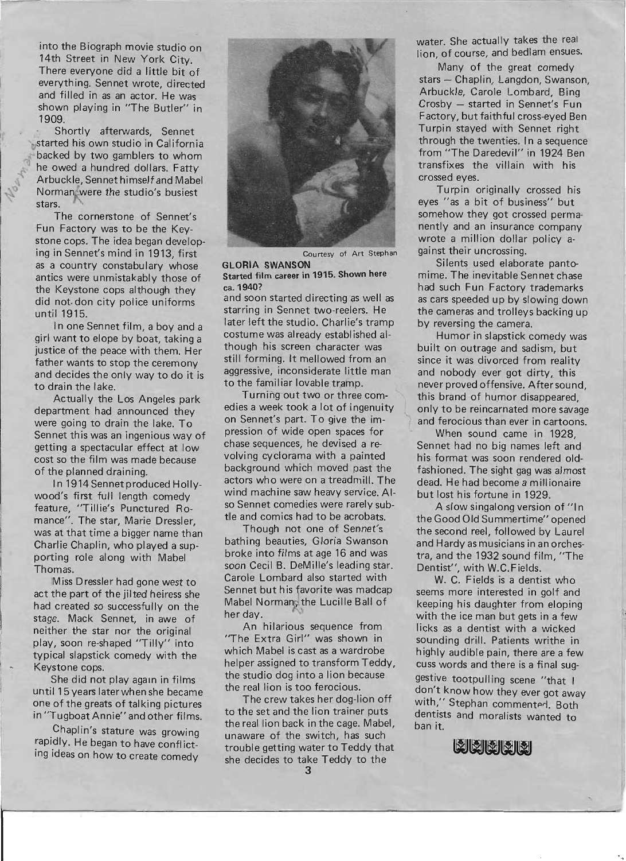into the Biograph movie studio on 14th Street in New York City. There everyone did a little bit of everything. Sennet wrote, directed and filled in as an actor. He was shown playing in "The Butler" in 1909.

Shortly afterwards, Sennet started his own studio in California backed by two gamblers to whom he owed a hundred dollars. Fatty Arbuckle, Sen net himself and Mabel Norman were the studio's busiest stars.

The cornerstone of Sennet's Fun Factory was to be the Keystone cops. The idea began developing in Sennet's mind in 1913, first as a country constabulary whose antics were unmistakably those of the Keystone cops although they did not. don city police uniforms until 1915.

In one Sennet film, a boy and a girl want to elope by boat, taking a justice of the peace with them. Her father wants to stop the ceremony and decides the only way to do it is to drain the lake.

Actually the Los Angeles park department had announced they were going to drain the lake. To Sennet this was an ingenious way of getting a spectacular effect at low cost so the film was made because of the planned draining.

In 1914 Sennet produced Hollywood's first full length comedy feature, "Tillie's Punctured Romance". The star, Marie Dressler, was at that time a bigger name than Charlie Chaplin, who played a supporting role along with Mabel Thomas.

Miss Dressler had gone west to act the part of the jilted heiress she had created so successfully on the stage. Mack Sennet, in awe of neither the star nor the original play; soon re-shaped "Tilly" into typical slapstick comedy with the Keystone cops.

She did not play again in films until 15 years later when she became one of the greats of talking pictures in "Tugboat Annie" and other films.

. Chaplin's stature was growing rapidly. He began to have conflicting ideas on how to create comedy



Courtesy of Art Stephan

GLORIA SWANSON Started film career in 1915. Shown here ca. 1940?

and soon started directing as well as starring in Sennet two-reelers. He later left the studio. Charlie's tramp costume was already established although his screen character was still forming. It mellowed from an aggressive, inconsiderate little man to the familiar lovable tramp.

Turning out two or three comedies a week took a lot of ingenuity on Sennet's part. To give the impression of wide open spaces for chase sequences, he devised a revolving cyclorama with a painted background which moved past the actors who were on a treadmill. The wind machine saw heavy service. Also Sennet comedies were rarely subtle and comics had to be acrobats.

Though not one of Sennet's bathing beauties, Gloria Swanson broke into films at age 16 and was soon Cecil B. DeMille's leading star. Carole Lombard also started with Sennet but his favorite was madcap Mabel Norman, the Lucille Ball of her day.

An hilarious sequence from "The Extra Girl" was shown in which Mabel is cast as a wardrobe helper assigned to transform Teddy, the studio dog into a lion because the real lion is too ferocious.

The crew takes her dog-lion off to the set and the lion trainer puts the real lion back in the cage. Mabel, unaware of the switch, has such trouble getting water to Teddy that she decides to take Teddy to the

water. She actually takes the real lion, of course, and bedlam ensues.

Many of the great comedy stars - Chaplin, Langdon, Swanson, Arbuckle, Carole Lombard, Bing Crosby - started in Sennet's Fun Factory, but faithful cross-eyed Ben Turpin stayed with Sennet right through the twenties. In a sequence from "The Daredevil" in 1924 Ben transfixes the villain with his crossed eyes.

Turpin originally crossed his eyes "as a bit of business" but somehow they got crossed permanently and an insurance company wrote a million dollar policy against their uncrossing.

Silents used elaborate pantomime. The inevitable Sennet chase had such Fun Factory trademarks as cars speeded up by slowing down the cameras and trolleys backing up by reversing the camera.

Humor in slapstick comedy was built on outrage and sadism, but since it was divorced from reality and nobody ever got dirty, this never proved offensive. After sound this brand of humor disappeared. only to be reincarnated more savage and ferocious than ever in cartoons.

When sound came in 1928, Sennet had no big names left and his format was soon rendered oldfashioned. The sight gag was almost dead. He had become a millionaire but lost his fortune in 1929.

. A slow singalong version of "In the Good Old Summertime" opened the second reel, followed by Laurel and Hardy as musicians in an orchestra, and the 1932 sound film, "The Dentist", with W.C.Fields.

W. C. Fields is a dentist who seems more interested in golf and keeping his daughter from eloping with the ice man but gets in a few licks as a dentist with a wicked sounding drill. Patients writhe in highly audible pain, there are a few cuss words and there is a final suggestive tootpulling scene "that I don't know how they ever got away with," Stephan commented. Both dentists and moralists wanted to ban it.

MMMMM